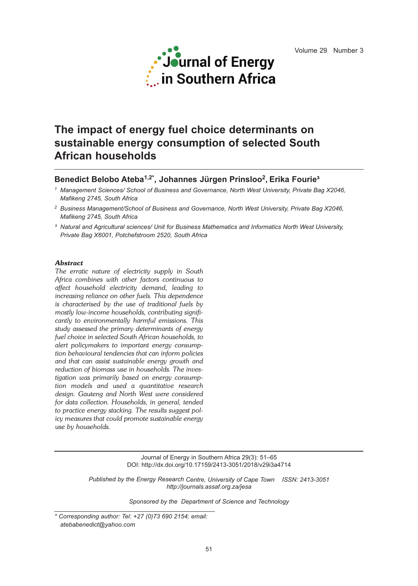

# **The impact of energy fuel choice determinants on sustainable energy consumption of selected South African households**

# **Benedict Belobo Ateba1,2\* , Johannes Jürgen Prinsloo2, Erika Fourie³**

*<sup>1</sup> Management Sciences/ School of Business and Governance, North West University, Private Bag X2046, Mafikeng 2745, South Africa*

*³ Natural and Agricultural sciences/ Unit for Business Mathematics and Informatics North West University, Private Bag X6001, Potchefstroom 2520, South Africa*

#### *Abstract*

*The erratic nature of electricity supply in South Africa combines with other factors continuous to affect household electricity demand, leading to increasing reliance on other fuels. This dependence is characterised by the use of traditional fuels by mostly low-income households, contributing significantly to environmentally harmful emissions. This study assessed the primary determinants of energy fuel choice in selected South African households, to alert policymakers to important energy consumption behavioural tendencies that can inform policies and that can assist sustainable energy growth and reduction of biomass use in households. The investigation was primarily based on energy consumption models and used a quantitative research design. Gauteng and North West were considered for data collection. Households, in general, tended to practice energy stacking. The results suggest policy measures that could promote sustainable energy use by households.*

> Journal of Energy in Southern Africa 29(3): 51–65 DOI: http://dx.doi.org/10.17159/2413-3051/2018/v29i3a4714

*Published by the Energy Research Centre, University of Cape Town ISSN: 2413-3051 http://journals.assaf.org.za/jesa*

*Sponsored by the Department of Science and Technology*

*<sup>2</sup> Business Management/School of Business and Governance, North West University, Private Bag X2046, Mafikeng 2745, South Africa*

*<sup>\*</sup> Corresponding author: Tel: +27 (0)73 690 2154; email: atebabenedict@yahoo.com*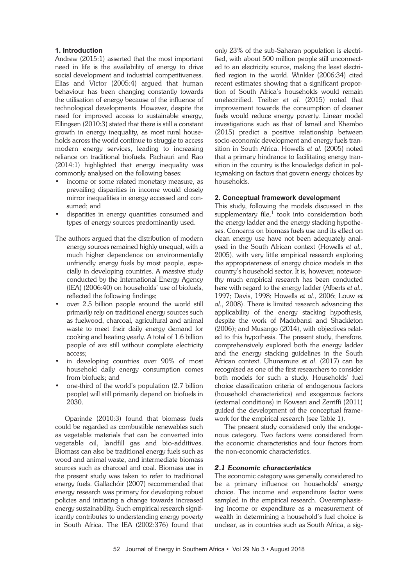#### **1. Introduction**

Andrew (2015:1) asserted that the most important need in life is the availability of energy to drive social development and industrial competitiveness. Elias and Victor (2005:4) argued that human behaviour has been changing constantly towards the utilisation of energy because of the influence of technological developments. However, despite the need for improved access to sustainable energy, Ellingsen (2010:3) stated that there is still a constant growth in energy inequality, as most rural households across the world continue to struggle to access modern energy services, leading to increasing reliance on traditional biofuels. Pachauri and Rao (2014:1) highlighted that energy inequality was commonly analysed on the following bases:

- income or some related monetary measure, as prevailing disparities in income would closely mirror inequalities in energy accessed and consumed; and
- disparities in energy quantities consumed and types of energy sources predominantly used.
- The authors argued that the distribution of modern energy sources remained highly unequal, with a much higher dependence on environmentally unfriendly energy fuels by most people, especially in developing countries. A massive study conducted by the International Energy Agency (IEA) (2006:40) on households' use of biofuels, reflected the following findings;
- over 2.5 billion people around the world still primarily rely on traditional energy sources such as fuelwood, charcoal, agricultural and animal waste to meet their daily energy demand for cooking and heating yearly. A total of 1.6 billion people of are still without complete electricity access;
- in developing countries over 90% of most household daily energy consumption comes from biofuels; and
- one-third of the world's population (2.7 billion people) will still primarily depend on biofuels in 2030.

Oparinde (2010:3) found that biomass fuels could be regarded as combustible renewables such as vegetable materials that can be converted into vegetable oil, landfill gas and bio-additives. Biomass can also be traditional energy fuels such as wood and animal waste, and intermediate biomass sources such as charcoal and coal. Biomass use in the present study was taken to refer to traditional energy fuels. Gallachóir (2007) recommended that energy research was primary for developing robust policies and initiating a change towards increased energy sustainability. Such empirical research significantly contributes to understanding energy poverty in South Africa. The IEA (2002:376) found that

only 23% of the sub-Saharan population is electrified, with about 500 million people still unconnected to an electricity source, making the least electrified region in the world. Winkler (2006:34) cited recent estimates showing that a significant proportion of South Africa's households would remain unelectrified. Treiber *et al.* (2015) noted that improvement towards the consumption of cleaner fuels would reduce energy poverty. Linear model investigations such as that of Ismail and Khembo (2015) predict a positive relationship between socio-economic development and energy fuels transition in South Africa. Howells *et al.* (2005) noted that a primary hindrance to facilitating energy transition in the country is the knowledge deficit in policymaking on factors that govern energy choices by households.

#### **2. Conceptual framework development**

This study, following the models discussed in the supplementary file, $1$  took into consideration both the energy ladder and the energy stacking hypotheses. Concerns on biomass fuels use and its effect on clean energy use have not been adequately analysed in the South African context (Howells *et al.*, 2005), with very little empirical research exploring the appropriateness of energy choice models in the country's household sector. It is, however, noteworthy much empirical research has been conducted here with regard to the energy ladder (Alberts *et al.*, 1997; Davis, 1998; Howells *et al.*, 2006; Louw *et al.*, 2008). There is limited research advancing the applicability of the energy stacking hypothesis, despite the work of Madubansi and Shackleton (2006); and Musango (2014), with objectives related to this hypothesis. The present study, therefore, comprehensively explored both the energy ladder and the energy stacking guidelines in the South African context. Uhunamure *et al*. (2017) can be recognised as one of the first researchers to consider both models for such a study. Households' fuel choice classification criteria of endogenous factors (household characteristics) and exogenous factors (external conditions) in Kowsari and Zerriffi (2011) guided the development of the conceptual framework for the empirical research (see Table 1).

The present study considered only the endogenous category. Two factors were considered from the economic characteristics and four factors from the non-economic characteristics.

#### *2.1 Economic characteristics*

The economic category was generally considered to be a primary influence on households' energy choice. The income and expenditure factor were sampled in the empirical research. Overemphasising income or expenditure as a measurement of wealth in determining a household's fuel choice is unclear, as in countries such as South Africa, a sig-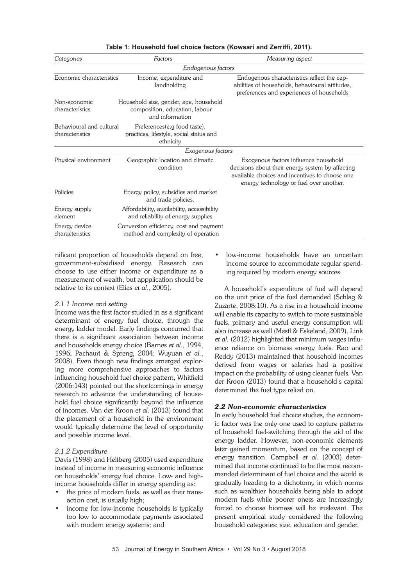| Categories                                  | Factors                                                                                     | Measuring aspect                                                                                                                                                                       |
|---------------------------------------------|---------------------------------------------------------------------------------------------|----------------------------------------------------------------------------------------------------------------------------------------------------------------------------------------|
|                                             | Endogenous factors                                                                          |                                                                                                                                                                                        |
| Economic characteristics                    | Income, expenditure and<br>landholding                                                      | Endogenous characteristics reflect the cap-<br>abilities of households, behavioural attitudes,<br>preferences and experiences of households                                            |
| Non-economic<br>characteristics             | Household size, gender, age, household<br>composition, education, labour<br>and information |                                                                                                                                                                                        |
| Behavioural and cultural<br>characteristics | Preferences(e.g food taste),<br>practices, lifestyle, social status and<br>ethnicity        |                                                                                                                                                                                        |
|                                             | Exogenous factors                                                                           |                                                                                                                                                                                        |
| Physical environment                        | Geographic location and climatic<br>condition                                               | Exogenous factors influence household<br>decisions about their energy system by affecting<br>available choices and incentives to choose one<br>energy technology or fuel over another. |
| Policies                                    | Energy policy, subsidies and market<br>and trade policies.                                  |                                                                                                                                                                                        |
| Energy supply<br>element                    | Affordability, availability, accessibility<br>and reliability of energy supplies            |                                                                                                                                                                                        |
| Energy device<br>characteristics            | Conversion efficiency, cost and payment<br>method and complexity of operation               |                                                                                                                                                                                        |

#### **Table 1: Household fuel choice factors (Kowsari and Zerriffi, 2011).**

nificant proportion of households depend on free, government-subsidised energy. Research can choose to use either income or expenditure as a measurement of wealth, but appplication should be relative to its context (Elias *et al*., 2005).

#### *2.1.1 Income and setting*

Income was the first factor studied in as a significant determinant of energy fuel choice, through the energy ladder model. Early findings concurred that there is a significant association between income and households energy choice (Barnes *et al*., 1994, 1996; Pachauri & Spreng, 2004; Wuyuan *et al.*, 2008). Even though new findings emerged exploring more comprehensive approaches to factors influencing household fuel choice pattern, Whitfield (2006:143) pointed out the shortcomings in energy research to advance the understanding of household fuel choice significantly beyond the influence of incomes. Van der Kroon *et al*. (2013) found that the placement of a household in the environment would typically determine the level of opportunity and possible income level.

# *2.1.2 Expenditure*

Davis (1998) and Heltberg (2005) used expenditure instead of income in measuring economic influence on households' energy fuel choice. Low- and highincome households differ in energy spending as:

- the price of modern fuels, as well as their transaction cost, is usually high;
- income for low-income households is typically too low to accommodate payments associated with modern energy systems; and

• low-income households have an uncertain income source to accommodate regular spending required by modern energy sources.

A household's expenditure of fuel will depend on the unit price of the fuel demanded (Schlag & Zuzarte, 2008:10). As a rise in a household income will enable its capacity to switch to more sustainable fuels, primary and useful energy consumption will also increase as well (Mestl & Eskeland, 2009). Link *et al.* (2012) highlighted that minimum wages influence reliance on biomass energy fuels. Rao and Reddy (2013) maintained that household incomes derived from wages or salaries had a positive impact on the probability of using cleaner fuels. Van der Kroon (2013) found that a household's capital determined the fuel type relied on.

# *2.2 Non-economic characteristics*

In early household fuel choice studies, the economic factor was the only one used to capture patterns of household fuel-switching through the aid of the energy ladder. However, non-economic elements later gained momentum, based on the concept of energy transition. Campbell *et al.* (2003) determined that income continued to be the most recommended determinant of fuel choice and the world is gradually heading to a dichotomy in which norms such as wealthier households being able to adopt modern fuels while poorer oness are increasingly forced to choose biomass will be irrelevant. The present empirical study considered the following household categories: size, education and gender.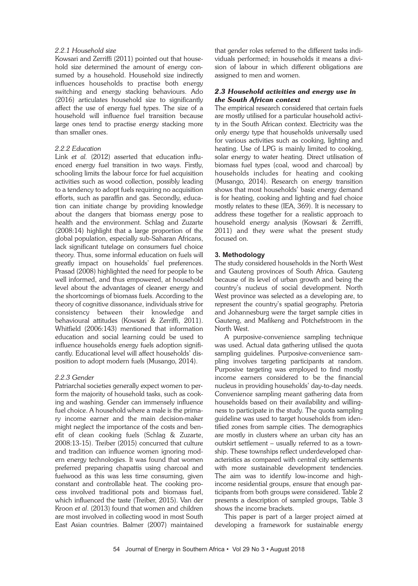#### *2.2.1 Household size*

Kowsari and Zerriffi (2011) pointed out that household size determined the amount of energy consumed by a household. Household size indirectly influences households to practise both energy switching and energy stacking behaviours. Ado (2016) articulates household size to significantly affect the use of energy fuel types. The size of a household will influence fuel transition because large ones tend to practise energy stacking more than smaller ones.

# *2.2.2 Education*

Link *et al.* (2012) asserted that education influenced energy fuel transition in two ways. Firstly, schooling limits the labour force for fuel acquisition activities such as wood collection, possibly leading to a tendency to adopt fuels requiring no acquisition efforts, such as paraffin and gas. Secondly, education can initiate change by providing knowledge about the dangers that biomass energy pose to health and the environment. Schlag and Zuzarte (2008:14) highlight that a large proportion of the global population, especially sub-Saharan Africans, lack significant tutelage on consumers fuel choice theory. Thus, some informal education on fuels will greatly impact on households' fuel preferences. Prasad (2008) highlighted the need for people to be well informed, and thus empowered, at household level about the advantages of cleaner energy and the shortcomings of biomass fuels. According to the theory of cognitive dissonance, individuals strive for consistency between their knowledge and behavioural attitudes (Kowsari & Zerriffi, 2011). Whitfield (2006:143) mentioned that information education and social learning could be used to influence households energy fuels adoption significantly. Educational level will affect households' disposition to adopt modern fuels (Musango, 2014).

# *2.2.3 Gender*

Patriarchal societies generally expect women to perform the majority of household tasks, such as cooking and washing. Gender can immensely influence fuel choice. A household where a male is the primary income earner and the main decision-maker might neglect the importance of the costs and benefit of clean cooking fuels (Schlag & Zuzarte, 2008:13-15). Treiber (2015) concurred that culture and tradition can influence women ignoring modern energy technologies. It was found that women preferred preparing chapattis using charcoal and fuelwood as this was less time consuming, given constant and controllable heat. The cooking process involved traditional pots and biomass fuel, which influenced the taste (Treiber, 2015). Van der Kroon *et al*. (2013) found that women and children are most involved in collecting wood in most South East Asian countries. Balmer (2007) maintained that gender roles referred to the different tasks individuals performed; in households it means a division of labour in which different obligations are assigned to men and women.

# *2.3 Household activities and energy use in the South African context*

The empirical research considered that certain fuels are mostly utilised for a particular household activity in the South African context. Electricity was the only energy type that households universally used for various activities such as cooking, lighting and heating. Use of LPG is mainly limited to cooking, solar energy to water heating. Direct utilisation of biomass fuel types (coal, wood and charcoal) by households includes for heating and cooking (Musango, 2014). Research on energy transition shows that most households' basic energy demand is for heating, cooking and lighting and fuel choice mostly relates to these (IEA, 369). It is necessary to address these together for a realistic approach to household energy analysis (Kowsari & Zerriffi, 2011) and they were what the present study focused on.

# **3. Methodology**

The study considered households in the North West and Gauteng provinces of South Africa. Gauteng because of its level of urban growth and being the country's nucleus of social development. North West province was selected as a developing are, to represent the country's spatial geography. Pretoria and Johannesburg were the target sample cities in Gauteng, and Mafikeng and Potchefstroom in the North West.

A purposive-convenience sampling technique was used. Actual data gathering utilised the quota sampling guidelines. Purposive-convenience sampling involves targeting participants at random. Purposive targeting was employed to find mostly income earners considered to be the financial nucleus in providing households' day-to-day needs. Convenience sampling meant gathering data from households based on their availability and willingness to participate in the study. The quota sampling guideline was used to target households from identified zones from sample cities. The demographics are mostly in clusters where an urban city has an outskirt settlement – usually referred to as a township. These townships reflect underdeveloped characteristics as compared with central city settlements with more sustainable development tendencies. The aim was to identify low-income and highincome residential groups, ensure that enough participants from both groups were considered. Table 2 presents a description of sampled groups, Table 3 shows the income brackets.

This paper is part of a larger project aimed at developing a framework for sustainable energy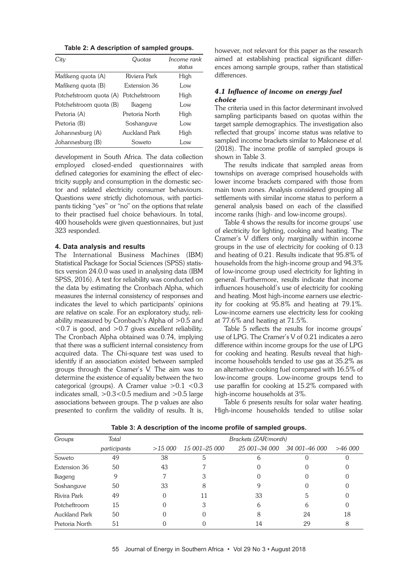**Table 2: A description of sampled groups.**

| City                    | Quotas         | Income rank<br>status |
|-------------------------|----------------|-----------------------|
| Mafikeng quota (A)      | Riviera Park   | High                  |
| Mafikeng quota (B)      | Extension 36   | I ow                  |
| Potchefstroom quota (A) | Potchefstroom  | High                  |
| Potchefstroom quota (B) | Ikageng        | l ow                  |
| Pretoria (A)            | Pretoria North | High                  |
| Pretoria (B)            | Soshanguve     | Low                   |
| Johannesburg (A)        | Auckland Park  | High                  |
| Johannesburg (B)        | Soweto         | l ow                  |

development in South Africa. The data collection employed closed-ended questionnaires with defined categories for examining the effect of electricity supply and consumption in the domestic sector and related electricity consumer behaviours. Questions were strictly dichotomous, with participants ticking "yes" or "no" on the options that relate to their practised fuel choice behaviours. In total, 400 households were given questionnaires, but just 323 responded.

#### **4. Data analysis and results**

The International Business Machines (IBM) Statistical Package for Social Sciences (SPSS) statistics version 24.0.0 was used in analysing data (IBM SPSS, 2016). A test for reliability was conducted on the data by estimating the Cronbach Alpha, which measures the internal consistency of responses and indicates the level to which participants' opinions are relative on scale. For an exploratory study, reliability measured by Cronbach's Alpha of >0.5 and <0.7 is good, and >0.7 gives excellent reliability. The Cronbach Alpha obtained was 0.74, implying that there was a sufficient internal consistency from acquired data. The Chi-square test was used to identify if an association existed between sampled groups through the Cramer's V. The aim was to determine the existence of equality between the two categorical (groups). A Cramer value  $>0.1$  <0.3 indicates small,  $>0.3$ <0.5 medium and  $>0.5$  large associations between groups. The p values are also presented to confirm the validity of results. It is,

however, not relevant for this paper as the research aimed at establishing practical significant differences among sample groups, rather than statistical differences.

# *4.1 Influence of income on energy fuel choice*

The criteria used in this factor determinant involved sampling participants based on quotas within the target sample demographics. The investigation also reflected that groups' income status was relative to sampled income brackets similar to Makonese *et al.* (2018). The income profile of sampled groups is shown in Table 3.

The results indicate that sampled areas from townships on average comprised households with lower income brackets compared with those from main town zones. Analysis considered grouping all settlements with similar income status to perform a general analysis based on each of the classified income ranks (high- and low-income groups).

Table 4 shows the results for income groups' use of electricity for lighting, cooking and heating. The Cramer's V differs only marginally within income groups in the use of electricity for cooking of 0.13 and heating of 0.21. Results indicate that 95.8% of households from the high-income group and 94.3% of low-income group used electricity for lighting in general. Furthermore, results indicate that income influences household's use of electricity for cooking and heating. Most high-income earners use electricity for cooking at 95.8% and heating at 79.1%. Low-income earners use electricity less for cooking at 77.6% and heating at 71.5%.

Table 5 reflects the results for income groups' use of LPG. The Cramer's V of 0.21 indicates a zero difference within income groups for the use of LPG for cooking and heating. Results reveal that highincome households tended to use gas at 35.2% as an alternative cooking fuel compared with 16.5% of low-income groups. Low-income groups tend to use paraffin for cooking at 15.2% compared with high-income households at 3%.

Table 6 presents results for solar water heating. High-income households tended to utilise solar

| Groups               | Total        |         | Brackets (ZAR/month) |               |               |         |  |  |
|----------------------|--------------|---------|----------------------|---------------|---------------|---------|--|--|
|                      | participants | >15,000 | 15 001–25 000        | 25 001–34 000 | 34 001–46 000 | >46,000 |  |  |
| Soweto               | 49           | 38      | 5                    | b             |               |         |  |  |
| Extension 36         | 50           | 43      |                      |               |               |         |  |  |
| Ikageng              | 9            |         |                      |               |               |         |  |  |
| Soshanguve           | 50           | 33      | 8                    |               |               |         |  |  |
| Rivira Park          | 49           | 0       | 11                   | 33            |               |         |  |  |
| Potcheftroom         | 15           |         | З                    | 6             | h             |         |  |  |
| <b>Auckland Park</b> | 50           |         |                      | 8             | 24            | 18      |  |  |
| Pretoria North       | 51           |         |                      | 14            | 29            |         |  |  |

**Table 3: A description of the income profile of sampled groups.**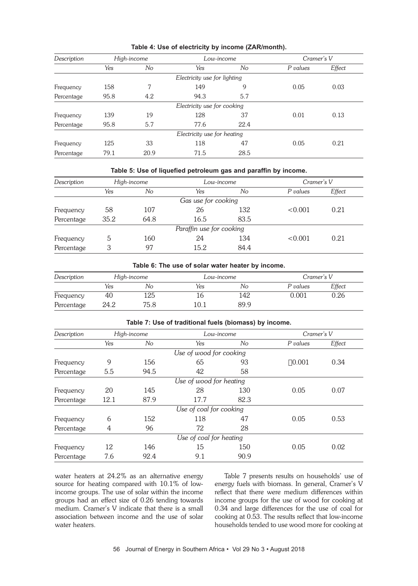| Description | High-income |      | Low-income                   |      | Cramer's V |        |
|-------------|-------------|------|------------------------------|------|------------|--------|
|             | Yes         | No   | Yes                          | No   | P values   | Effect |
|             |             |      | Electricity use for lighting |      |            |        |
| Frequency   | 158         | 7    | 149                          | 9    | 0.05       | 0.03   |
| Percentage  | 95.8        | 4.2  | 94.3                         | 5.7  |            |        |
|             |             |      | Electricity use for cooking  |      |            |        |
| Frequency   | 139         | 19   | 128                          | 37   | 0.01       | 0.13   |
| Percentage  | 95.8        | 5.7  | 77.6                         | 22.4 |            |        |
|             |             |      | Electricity use for heating  |      |            |        |
| Frequency   | 125         | 33   | 118                          | 47   | 0.05       | 0.21   |
| Percentage  | 79.1        | 20.9 | 71.5                         | 28.5 |            |        |

# **Table 4: Use of electricity by income (ZAR/month).**

#### **Table 5: Use of liquefied petroleum gas and paraffin by income.**

| Description | High-income |      |                          | Low-income |          | Cramer's V |  |
|-------------|-------------|------|--------------------------|------------|----------|------------|--|
|             | Yes         | No   | Yes                      | No         | P values | Effect     |  |
|             |             |      | Gas use for cooking      |            |          |            |  |
| Frequency   | 58          | 107  | 26                       | 132        | < 0.001  | 0.21       |  |
| Percentage  | 35.2        | 64.8 | 16.5                     | 83.5       |          |            |  |
|             |             |      | Paraffin use for cooking |            |          |            |  |
| Frequency   | $\mathbf b$ | 160  | 24                       | 134        | < 0.001  | 0.21       |  |
| Percentage  | 3           | 97   | 15.2                     | 84.4       |          |            |  |

#### **Table 6: The use of solar water heater by income.**

| Description | High-income |      | Low-income |      | Cramer's V |        |  |
|-------------|-------------|------|------------|------|------------|--------|--|
|             | Yes         | No   | Yes        | No   | P values   | Effect |  |
| Frequency   | 40          | 125  |            | 142  | 0.001      | 0.26   |  |
| Percentage  | 24.2        | 75.8 | 10.1       | 89.9 |            |        |  |

| Description |      | High-income | Low-income              |      | Cramer's V |        |
|-------------|------|-------------|-------------------------|------|------------|--------|
|             | Yes  | No          | Yes                     | No   | P values   | Effect |
|             |      |             | Use of wood for cooking |      |            |        |
| Frequency   | 9    | 156         | 65                      | 93   | 0.001      | 0.34   |
| Percentage  | 5.5  | 94.5        | 42                      | 58   |            |        |
|             |      |             | Use of wood for heating |      |            |        |
| Frequency   | 20   | 145         | 28                      | 130  | 0.05       | 0.07   |
| Percentage  | 12.1 | 87.9        | 17.7                    | 82.3 |            |        |
|             |      |             | Use of coal for cooking |      |            |        |
| Frequency   | 6    | 152         | 118                     | 47   | 0.05       | 0.53   |
| Percentage  | 4    | 96          | 72                      | 28   |            |        |
|             |      |             | Use of coal for heating |      |            |        |
| Frequency   | 12   | 146         | 15                      | 150  | 0.05       | 0.02   |
| Percentage  | 7.6  | 92.4        | 9.1                     | 90.9 |            |        |

#### **Table 7: Use of traditional fuels (biomass) by income.**

water heaters at 24.2% as an alternative energy source for heating compared with 10.1% of lowincome groups. The use of solar within the income groups had an effect size of 0.26 tending towards medium. Cramer's V indicate that there is a small association between income and the use of solar water heaters.

Table 7 presents results on households' use of energy fuels with biomass. In general, Cramer's V reflect that there were medium differences within income groups for the use of wood for cooking at 0.34 and large differences for the use of coal for cooking at 0.53. The results reflect that low-income households tended to use wood more for cooking at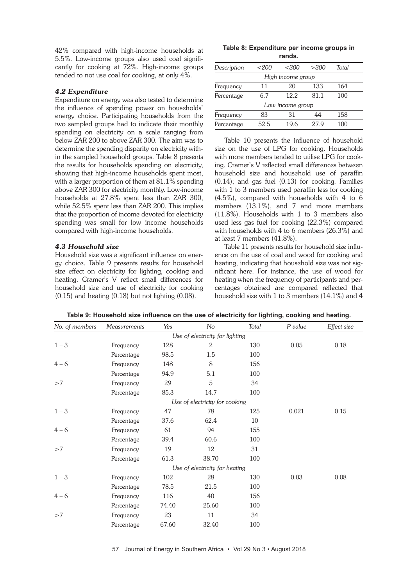42% compared with high-income households at 5.5%. Low-income groups also used coal significantly for cooking at 72%. High-income groups tended to not use coal for cooking, at only 4%.

#### *4.2 Expenditure*

Expenditure on energy was also tested to determine the influence of spending power on households' energy choice. Participating households from the two sampled groups had to indicate their monthly spending on electricity on a scale ranging from below ZAR 200 to above ZAR 300. The aim was to determine the spending disparity on electricity within the sampled household groups. Table 8 presents the results for households spending on electricity, showing that high-income households spent most, with a larger proportion of them at 81.1% spending above ZAR 300 for electricity monthly. Low-income households at 27.8% spent less than ZAR 300, while 52.5% spent less than ZAR 200. This implies that the proportion of income devoted for electricity spending was small for low income households compared with high-income households.

#### *4.3 Household size*

Household size was a significant influence on energy choice. Table 9 presents results for household size effect on electricity for lighting, cooking and heating. Cramer's V reflect small differences for household size and use of electricity for cooking  $(0.15)$  and heating  $(0.18)$  but not lighting  $(0.08)$ .

**Table 8: Expenditure per income groups in rands.**

| Description | $<$ 200 | <300              | >300 | Total |
|-------------|---------|-------------------|------|-------|
|             |         | High income group |      |       |
| Frequency   | 11      | 20                | 133  | 164   |
| Percentage  | 6.7     | 12.2.<br>81.1     |      | 100   |
|             |         | Low income group  |      |       |
| Frequency   | 83      | 31                | 44   | 158   |
| Percentage  | 52.5    | 19.6              | 279  | 100   |

Table 10 presents the influence of household size on the use of LPG for cooking. Households with more members tended to utilise LPG for cooking. Cramer's V reflected small differences between household size and household use of paraffin (0.14); and gas fuel (0.13) for cooking. Families with 1 to 3 members used paraffin less for cooking (4.5%), compared with households with 4 to 6 members (13.1%), and 7 and more members (11.8%). Households with 1 to 3 members also used less gas fuel for cooking (22.3%) compared with households with 4 to 6 members (26.3%) and at least 7 members (41.8%).

Table 11 presents results for household size influence on the use of coal and wood for cooking and heating, indicating that household size was not significant here. For instance, the use of wood for heating when the frequency of participants and percentages obtained are compared reflected that household size with 1 to 3 members (14.1%) and 4

| Table 9: Household size influence on the use of electricity for lighting, cooking and heating. |  |  |  |  |
|------------------------------------------------------------------------------------------------|--|--|--|--|
|------------------------------------------------------------------------------------------------|--|--|--|--|

| No. of members | <b>Measurements</b>             | Yes   | No                             | Total | P value | Effect size |  |  |  |  |  |
|----------------|---------------------------------|-------|--------------------------------|-------|---------|-------------|--|--|--|--|--|
|                | Use of electricity for lighting |       |                                |       |         |             |  |  |  |  |  |
| $1 - 3$        | Frequency                       | 128   | $\overline{2}$                 | 130   | 0.05    | 0.18        |  |  |  |  |  |
|                | Percentage                      | 98.5  | 1.5                            | 100   |         |             |  |  |  |  |  |
| $4 - 6$        | Frequency                       | 148   | 8                              | 156   |         |             |  |  |  |  |  |
|                | Percentage                      | 94.9  | 5.1                            | 100   |         |             |  |  |  |  |  |
| >7             | Frequency                       | 29    | 5                              | 34    |         |             |  |  |  |  |  |
|                | Percentage                      | 85.3  | 14.7                           | 100   |         |             |  |  |  |  |  |
|                |                                 |       | Use of electricity for cooking |       |         |             |  |  |  |  |  |
| $1 - 3$        | Frequency                       | 47    | 78                             | 125   | 0.021   | 0.15        |  |  |  |  |  |
|                | Percentage                      | 37.6  | 62.4                           | 10    |         |             |  |  |  |  |  |
| $4 - 6$        | Frequency                       | 61    | 94                             | 155   |         |             |  |  |  |  |  |
|                | Percentage                      | 39.4  | 60.6                           | 100   |         |             |  |  |  |  |  |
| >7             | Frequency                       | 19    | 12                             | 31    |         |             |  |  |  |  |  |
|                | Percentage                      | 61.3  | 38.70                          | 100   |         |             |  |  |  |  |  |
|                |                                 |       | Use of electricity for heating |       |         |             |  |  |  |  |  |
| $1 - 3$        | Frequency                       | 102   | 28                             | 130   | 0.03    | 0.08        |  |  |  |  |  |
|                | Percentage                      | 78.5  | 21.5                           | 100   |         |             |  |  |  |  |  |
| $4 - 6$        | Frequency                       | 116   | 40                             | 156   |         |             |  |  |  |  |  |
|                | Percentage                      | 74.40 | 25.60                          | 100   |         |             |  |  |  |  |  |
| >7             | Frequency                       | 23    | 11                             | 34    |         |             |  |  |  |  |  |
|                | Percentage                      | 67.60 | 32.40                          | 100   |         |             |  |  |  |  |  |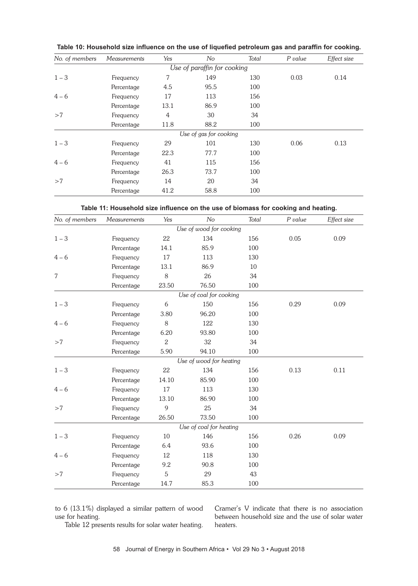| Table 10: Household size influence on the use of liquefied petroleum gas and paraffin for cooking. |  |  |  |
|----------------------------------------------------------------------------------------------------|--|--|--|
|                                                                                                    |  |  |  |

| No. of members | <b>Measurements</b> | Yes  | No                          | Total | P value | Effect size |
|----------------|---------------------|------|-----------------------------|-------|---------|-------------|
|                |                     |      | Use of paraffin for cooking |       |         |             |
| $1 - 3$        | Frequency           | 7    | 149                         | 130   | 0.03    | 0.14        |
|                | Percentage          | 4.5  | 95.5                        | 100   |         |             |
| $4 - 6$        | Frequency           | 17   | 113                         | 156   |         |             |
|                | Percentage          | 13.1 | 86.9                        | 100   |         |             |
| >7             | Frequency           | 4    | 30                          | 34    |         |             |
|                | Percentage          | 11.8 | 88.2                        | 100   |         |             |
|                |                     |      | Use of gas for cooking      |       |         |             |
| $1 - 3$        | Frequency           | 29   | 101                         | 130   | 0.06    | 0.13        |
|                | Percentage          | 22.3 | 77.7                        | 100   |         |             |
| $4 - 6$        | Frequency           | 41   | 115                         | 156   |         |             |
|                | Percentage          | 26.3 | 73.7                        | 100   |         |             |
| >7             | Frequency           | 14   | 20                          | 34    |         |             |
|                | Percentage          | 41.2 | 58.8                        | 100   |         |             |

| Table 11: Household size influence on the use of biomass for cooking and heating. |  |  |  |  |
|-----------------------------------------------------------------------------------|--|--|--|--|
|-----------------------------------------------------------------------------------|--|--|--|--|

| No. of members | Measurements | Yes            | No                      | Total  | P value | Effect size |
|----------------|--------------|----------------|-------------------------|--------|---------|-------------|
|                |              |                | Use of wood for cooking |        |         |             |
| $1 - 3$        | Frequency    | 22             | 134                     | 156    | 0.05    | 0.09        |
|                | Percentage   | 14.1           | 85.9                    | 100    |         |             |
| $4 - 6$        | Frequency    | 17             | 113                     | 130    |         |             |
|                | Percentage   | 13.1           | 86.9                    | $10\,$ |         |             |
| $\overline{7}$ | Frequency    | 8              | 26                      | 34     |         |             |
|                | Percentage   | 23.50          | 76.50                   | 100    |         |             |
|                |              |                | Use of coal for cooking |        |         |             |
| $1 - 3$        | Frequency    | 6              | 150                     | 156    | 0.29    | 0.09        |
|                | Percentage   | 3.80           | 96.20                   | 100    |         |             |
| $4 - 6$        | Frequency    | 8              | 122                     | 130    |         |             |
|                | Percentage   | 6.20           | 93.80                   | 100    |         |             |
| >7             | Frequency    | $\overline{2}$ | 32                      | 34     |         |             |
|                | Percentage   | 5.90           | 94.10                   | 100    |         |             |
|                |              |                | Use of wood for heating |        |         |             |
| $1 - 3$        | Frequency    | 22             | 134                     | 156    | 0.13    | 0.11        |
|                | Percentage   | 14.10          | 85.90                   | 100    |         |             |
| $4 - 6$        | Frequency    | 17             | 113                     | 130    |         |             |
|                | Percentage   | 13.10          | 86.90                   | 100    |         |             |
| >7             | Frequency    | 9              | 25                      | 34     |         |             |
|                | Percentage   | 26.50          | 73.50                   | 100    |         |             |
|                |              |                | Use of coal for heating |        |         |             |
| $1 - 3$        | Frequency    | $10\,$         | 146                     | 156    | 0.26    | 0.09        |
|                | Percentage   | 6.4            | 93.6                    | 100    |         |             |
| $4 - 6$        | Frequency    | 12             | 118                     | 130    |         |             |
|                | Percentage   | 9.2            | 90.8                    | 100    |         |             |
| >7             | Frequency    | 5              | 29                      | 43     |         |             |
|                | Percentage   | 14.7           | 85.3                    | 100    |         |             |

to 6 (13.1%) displayed a similar pattern of wood use for heating.

Table 12 presents results for solar water heating.

Cramer's V indicate that there is no association between household size and the use of solar water heaters.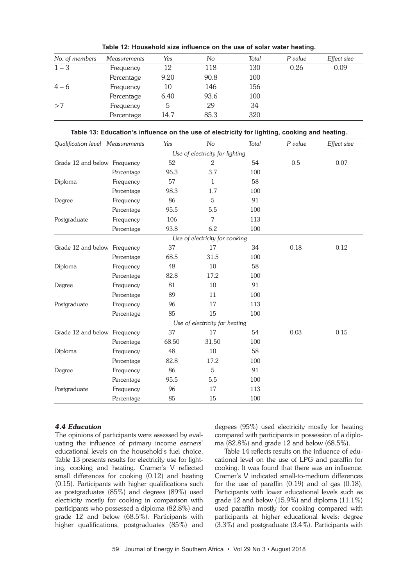| No. of members | <b>Measurements</b> | Yes  | No   | Total | P value | Effect size |
|----------------|---------------------|------|------|-------|---------|-------------|
| $1 - 3$        | Frequency           | 12   | 118  | 130   | 0.26    | 0.09        |
|                | Percentage          | 9.20 | 90.8 | 100   |         |             |
| $4 - 6$        | Frequency           | 10   | 146  | 156   |         |             |
|                | Percentage          | 6.40 | 93.6 | 100   |         |             |
| >7             | Frequency           | 5    | 29   | 34    |         |             |
|                | Percentage          | 14.7 | 85.3 | 320   |         |             |

**Table 12: Household size influence on the use of solar water heating.**

**Table 13: Education's influence on the use of electricity for lighting, cooking and heating.**

| Qualification level Measurements |            | Yes   | No                              | Total | P value | Effect size |
|----------------------------------|------------|-------|---------------------------------|-------|---------|-------------|
|                                  |            |       | Use of electricity for lighting |       |         |             |
| Grade 12 and below Frequency     |            | 52    | $\mathbf{2}$                    | 54    | 0.5     | 0.07        |
|                                  | Percentage | 96.3  | 3.7                             | 100   |         |             |
| Diploma                          | Frequency  | 57    | 1                               | 58    |         |             |
|                                  | Percentage | 98.3  | 1.7                             | 100   |         |             |
| Degree                           | Frequency  | 86    | 5                               | 91    |         |             |
|                                  | Percentage | 95.5  | 5.5                             | 100   |         |             |
| Postgraduate                     | Frequency  | 106   | 7                               | 113   |         |             |
|                                  | Percentage | 93.8  | 6.2                             | 100   |         |             |
|                                  |            |       | Use of electricity for cooking  |       |         |             |
| Grade 12 and below Frequency     |            | 37    | 17                              | 34    | 0.18    | 0.12        |
|                                  | Percentage | 68.5  | 31.5                            | 100   |         |             |
| Diploma                          | Frequency  | 48    | 10                              | 58    |         |             |
|                                  | Percentage | 82.8  | 17.2                            | 100   |         |             |
| Degree                           | Frequency  | 81    | 10                              | 91    |         |             |
|                                  | Percentage | 89    | 11                              | 100   |         |             |
| Postgraduate                     | Frequency  | 96    | 17                              | 113   |         |             |
|                                  | Percentage | 85    | 15                              | 100   |         |             |
|                                  |            |       | Use of electricity for heating  |       |         |             |
| Grade 12 and below Frequency     |            | 37    | 17                              | 54    | 0.03    | 0.15        |
|                                  | Percentage | 68.50 | 31.50                           | 100   |         |             |
| Diploma                          | Frequency  | 48    | 10                              | 58    |         |             |
|                                  | Percentage | 82.8  | 17.2                            | 100   |         |             |
| Degree                           | Frequency  | 86    | 5                               | 91    |         |             |
|                                  | Percentage | 95.5  | 5.5                             | 100   |         |             |
| Postgraduate                     | Frequency  | 96    | 17                              | 113   |         |             |
|                                  | Percentage | 85    | 15                              | 100   |         |             |

# *4.4 Education*

The opinions of participants were assessed by evaluating the influence of primary income earners' educational levels on the household's fuel choice. Table 13 presents results for electricity use for lighting, cooking and heating. Cramer's V reflected small differences for cooking (0.12) and heating (0.15). Participants with higher qualifications such as postgraduates (85%) and degrees (89%) used electricity mostly for cooking in comparison with participants who possessed a diploma (82.8%) and grade 12 and below (68.5%). Participants with higher qualifications, postgraduates (85%) and

degrees (95%) used electricity mostly for heating compared with participants in possession of a diploma (82.8%) and grade 12 and below (68.5%).

Table 14 reflects results on the influence of educational level on the use of LPG and paraffin for cooking. It was found that there was an influence. Cramer's V indicated small-to-medium differences for the use of paraffin  $(0.19)$  and of gas  $(0.18)$ . Participants with lower educational levels such as grade 12 and below (15.9%) and diploma (11.1%) used paraffin mostly for cooking compared with participants at higher educational levels: degree (3.3%) and postgraduate (3.4%). Participants with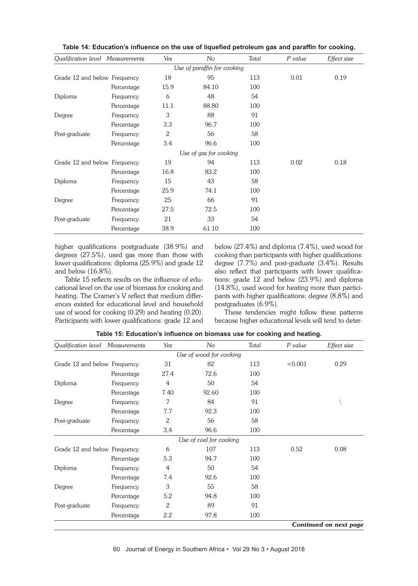| Qualification level Measurements |            | Yes  | No                          | Total | P value | Effect size |
|----------------------------------|------------|------|-----------------------------|-------|---------|-------------|
|                                  |            |      | Use of paraffin for cooking |       |         |             |
| Grade 12 and below Frequency     |            | 18   | 95                          | 113   | 0.01    | 0.19        |
|                                  | Percentage | 15.9 | 84.10                       | 100   |         |             |
| Diploma                          | Frequency  | 6    | 48                          | 54    |         |             |
|                                  | Percentage | 11.1 | 88.80                       | 100   |         |             |
| Degree                           | Frequency  | 3    | 88                          | 91    |         |             |
|                                  | Percentage | 3.3  | 96.7                        | 100   |         |             |
| Post-graduate                    | Frequency  | 2    | 56                          | 58    |         |             |
|                                  | Percentage | 3.4  | 96.6                        | 100   |         |             |
|                                  |            |      | Use of gas for cooking      |       |         |             |
| Grade 12 and below Frequency     |            | 19   | 94                          | 113   | 0.02    | 0.18        |
|                                  | Percentage | 16.8 | 83.2                        | 100   |         |             |
| Diploma                          | Frequency  | 15   | 43                          | 58    |         |             |
|                                  | Percentage | 25.9 | 74.1                        | 100   |         |             |
| Degree                           | Frequency  | 25   | 66                          | 91    |         |             |
|                                  | Percentage | 27.5 | 72.5                        | 100   |         |             |
| Post-graduate                    | Frequency  | 21   | 33                          | 54    |         |             |
|                                  | Percentage | 38.9 | 61.10                       | 100   |         |             |

**Table 14: Education's influence on the use of liquefied petroleum gas and paraffin for cooking.**

higher qualifications postgraduate (38.9%) and degrees (27.5%), used gas more than those with lower qualifications: diploma (25.9%) and grade 12 and below (16.8%).

Table 15 reflects results on the influence of educational level on the use of biomass for cooking and heating. The Cramer's V reflect that medium differences existed for educational level and household use of wood for cooking (0.29) and heating (0.20). Participants with lower qualifications: grade 12 and below (27.4%) and diploma (7.4%), used wood for cooking than participants with higher qualifications: degree (7.7%) and post-graduate (3.4%). Results also reflect that participants with lower qualifications: grade 12 and below (23.9%) and diploma (14.8%), used wood for heating more than participants with higher qualifications: degree (8.8%) and postgraduates (6.9%).

These tendencies might follow these patterns because higher educational levels will tend to deter-

| Qualification level Measurements |            | Yes          | No                      | Total | P value | Effect size            |
|----------------------------------|------------|--------------|-------------------------|-------|---------|------------------------|
|                                  |            |              | Use of wood for cooking |       |         |                        |
| Grade 12 and below Frequency     |            | 31           | 82                      | 113   | < 0.001 | 0.29                   |
|                                  | Percentage | 27.4         | 72.6                    | 100   |         |                        |
| Diploma                          | Frequency  | 4            | 50                      | 54    |         |                        |
|                                  | Percentage | 7.40         | 92.60                   | 100   |         |                        |
| Degree                           | Frequency  | 7            | 84                      | 91    |         |                        |
|                                  | Percentage | 7.7          | 92.3                    | 100   |         |                        |
| Post-graduate                    | Frequency  | 2            | 56                      | 58    |         |                        |
|                                  | Percentage | 3.4          | 96.6                    | 100   |         |                        |
|                                  |            |              | Use of coal for cooking |       |         |                        |
| Grade 12 and below Frequency     |            | 6            | 107                     | 113   | 0.52    | 0.08                   |
|                                  | Percentage | 5.3          | 94.7                    | 100   |         |                        |
| Diploma                          | Frequency  | 4            | 50                      | 54    |         |                        |
|                                  | Percentage | 7.4          | 92.6                    | 100   |         |                        |
| Degree                           | Frequency  | 3            | 55                      | 58    |         |                        |
|                                  | Percentage | 5.2          | 94.8                    | 100   |         |                        |
| Post-graduate                    | Frequency  | $\mathbf{2}$ | 89                      | 91    |         |                        |
|                                  | Percentage | 2.2          | 97.8                    | 100   |         |                        |
|                                  |            |              |                         |       |         | Continued on next page |

**Table 15: Education's influence on biomass use for cooking and heating.**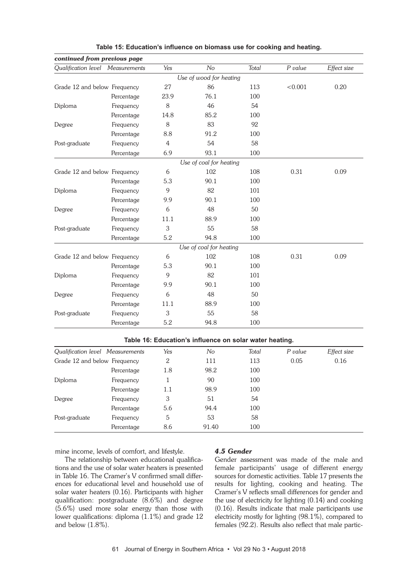| continued from previous page     |            |                |                                                         |       |          |             |
|----------------------------------|------------|----------------|---------------------------------------------------------|-------|----------|-------------|
| Qualification level Measurements |            | Yes            | No                                                      | Total | P value  | Effect size |
|                                  |            |                | Use of wood for heating                                 |       |          |             |
| Grade 12 and below Frequency     |            | 27             | 86                                                      | 113   | < 0.001  | 0.20        |
|                                  | Percentage | 23.9           | 76.1                                                    | 100   |          |             |
| Diploma                          | Frequency  | 8              | 46                                                      | 54    |          |             |
|                                  | Percentage | 14.8           | 85.2                                                    | 100   |          |             |
| Degree                           | Frequency  | 8              | 83                                                      | 92    |          |             |
|                                  | Percentage | 8.8            | 91.2                                                    | 100   |          |             |
| Post-graduate                    | Frequency  | $\overline{4}$ | 54                                                      | 58    |          |             |
|                                  | Percentage | 6.9            | 93.1                                                    | 100   |          |             |
|                                  |            |                | Use of coal for heating                                 |       |          |             |
| Grade 12 and below Frequency     |            | 6              | 102                                                     | 108   | 0.31     | 0.09        |
|                                  | Percentage | 5.3            | 90.1                                                    | 100   |          |             |
| Diploma                          | Frequency  | 9              | 82                                                      | 101   |          |             |
|                                  | Percentage | 9.9            | 90.1                                                    | 100   |          |             |
| Degree                           | Frequency  | 6              | 48                                                      | 50    |          |             |
|                                  | Percentage | 11.1           | 88.9                                                    | 100   |          |             |
| Post-graduate                    | Frequency  | 3              | 55                                                      | 58    |          |             |
|                                  | Percentage | 5.2            | 94.8                                                    | 100   |          |             |
|                                  |            |                | Use of coal for heating                                 |       |          |             |
| Grade 12 and below Frequency     |            | 6              | 102                                                     | 108   | 0.31     | 0.09        |
|                                  | Percentage | 5.3            | 90.1                                                    | 100   |          |             |
| Diploma                          | Frequency  | 9              | 82                                                      | 101   |          |             |
|                                  | Percentage | 9.9            | 90.1                                                    | 100   |          |             |
| Degree                           | Frequency  | 6              | 48                                                      | 50    |          |             |
|                                  | Percentage | 11.1           | 88.9                                                    | 100   |          |             |
| Post-graduate                    | Frequency  | 3              | 55                                                      | 58    |          |             |
|                                  | Percentage | 5.2            | 94.8                                                    | 100   |          |             |
|                                  |            |                | Table 16: Education's influence on solar water heating. |       |          |             |
|                                  |            |                |                                                         |       |          |             |
| Qualification level Measurements |            | Yes            | No                                                      | Total | P value  | Effect size |
| Grade 12 and below Frequency     |            | 2              | 111                                                     | 113   | $0.05\,$ | 0.16        |
|                                  | Percentage | 1.8            | 98.2                                                    | 100   |          |             |
| Diploma                          | Frequency  | $\mathbf{1}$   | 90                                                      | 100   |          |             |
|                                  | Percentage | 1.1            | 98.9                                                    | 100   |          |             |
| Degree                           | Frequency  | 3              | 51                                                      | 54    |          |             |
|                                  | Percentage | 5.6            | 94.4                                                    | 100   |          |             |
| Post-graduate                    | Frequency  | 5              | 53                                                      | 58    |          |             |
|                                  | Percentage | 8.6            | 91.40                                                   | 100   |          |             |

**Table 15: Education's influence on biomass use for cooking and heating.**

mine income, levels of comfort, and lifestyle.

The relationship between educational qualifications and the use of solar water heaters is presented in Table 16. The Cramer's V confirmed small differences for educational level and household use of solar water heaters (0.16). Participants with higher qualification: postgraduate (8.6%) and degree (5.6%) used more solar energy than those with lower qualifications: diploma (1.1%) and grade 12 and below (1.8%).

# *4.5 Gender*

Gender assessment was made of the male and female participants' usage of different energy sources for domestic activities. Table 17 presents the results for lighting, cooking and heating. The Cramer's V reflects small differences for gender and the use of electricity for lighting (0.14) and cooking (0.16). Results indicate that male participants use electricity mostly for lighting (98.1%), compared to females (92.2). Results also reflect that male partic-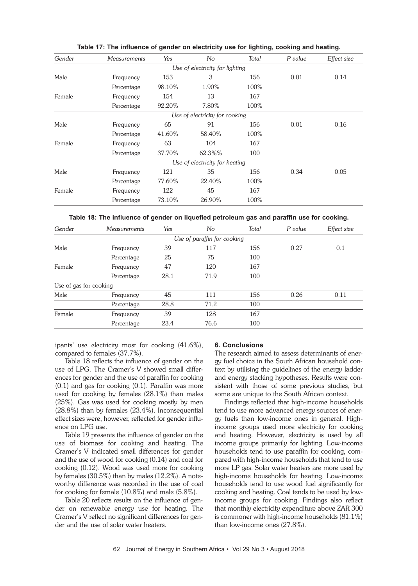| Gender | Measurements | Yes    | No                              | Total | P value | Effect size |
|--------|--------------|--------|---------------------------------|-------|---------|-------------|
|        |              |        | Use of electricity for lighting |       |         |             |
| Male   | Frequency    | 153    | 3                               | 156   | 0.01    | 0.14        |
|        | Percentage   | 98.10% | 1.90%                           | 100%  |         |             |
| Female | Frequency    | 154    | 13                              | 167   |         |             |
|        | Percentage   | 92.20% | 7.80%                           | 100%  |         |             |
|        |              |        | Use of electricity for cooking  |       |         |             |
| Male   | Frequency    | 65     | 91                              | 156   | 0.01    | 0.16        |
|        | Percentage   | 41.60% | 58.40%                          | 100%  |         |             |
| Female | Frequency    | 63     | 104                             | 167   |         |             |
|        | Percentage   | 37.70% | 62.3%%                          | 100   |         |             |
|        |              |        | Use of electricity for heating  |       |         |             |
| Male   | Frequency    | 121    | 35                              | 156   | 0.34    | 0.05        |
|        | Percentage   | 77.60% | 22.40%                          | 100%  |         |             |
| Female | Frequency    | 122    | 45                              | 167   |         |             |
|        | Percentage   | 73.10% | 26.90%                          | 100%  |         |             |

**Table 17: The influence of gender on electricity use for lighting, cooking and heating.**

**Table 18: The influence of gender on liquefied petroleum gas and paraffin use for cooking.**

| Gender                 | <b>Measurements</b> | Yes  | No                          | Total | P value | Effect size |
|------------------------|---------------------|------|-----------------------------|-------|---------|-------------|
|                        |                     |      | Use of paraffin for cooking |       |         |             |
| Male                   | Frequency           | 39   | 117                         | 156   | 0.27    | 0.1         |
|                        | Percentage          | 25   | 75                          | 100   |         |             |
| Female                 | Frequency           | 47   | 120                         | 167   |         |             |
|                        | Percentage          | 28.1 | 71.9                        | 100   |         |             |
| Use of gas for cooking |                     |      |                             |       |         |             |
| Male                   | Frequency           | 45   | 111                         | 156   | 0.26    | 0.11        |
|                        | Percentage          | 28.8 | 71.2                        | 100   |         |             |
| Female                 | Frequency           | 39   | 128                         | 167   |         |             |
|                        | Percentage          | 23.4 | 76.6                        | 100   |         |             |

ipants' use electricity most for cooking (41.6%), compared to females (37.7%).

Table 18 reflects the influence of gender on the use of LPG. The Cramer's V showed small differences for gender and the use of paraffin for cooking (0.1) and gas for cooking (0.1). Paraffin was more used for cooking by females (28.1%) than males (25%). Gas was used for cooking mostly by men (28.8%) than by females (23.4%). Inconsequential effect sizes were, however, reflected for gender influence on LPG use.

Table 19 presents the influence of gender on the use of biomass for cooking and heating. The Cramer's V indicated small differences for gender and the use of wood for cooking (0.14) and coal for cooking (0.12). Wood was used more for cooking by females (30.5%) than by males (12.2%). A noteworthy difference was recorded in the use of coal for cooking for female (10.8%) and male (5.8%).

Table 20 reflects results on the influence of gender on renewable energy use for heating. The Cramer's V reflect no significant differences for gender and the use of solar water heaters.

# **6. Conclusions**

The research aimed to assess determinants of energy fuel choice in the South African household context by utilising the guidelines of the energy ladder and energy stacking hypotheses. Results were consistent with those of some previous studies, but some are unique to the South African context.

Findings reflected that high-income households tend to use more advanced energy sources of energy fuels than low-income ones in general. Highincome groups used more electricity for cooking and heating. However, electricity is used by all income groups primarily for lighting. Low-income households tend to use paraffin for cooking, compared with high-income households that tend to use more LP gas. Solar water heaters are more used by high-income households for heating. Low-income households tend to use wood fuel significantly for cooking and heating. Coal tends to be used by lowincome groups for cooking. Findings also reflect that monthly electricity expenditure above ZAR 300 is commoner with high-income households (81.1%) than low-income ones (27.8%).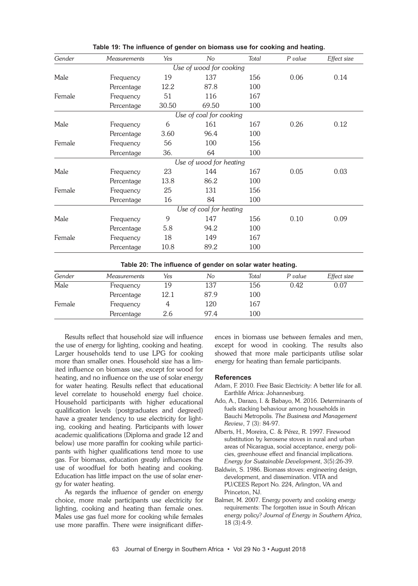| Gender | Measurements | Yes   | No                      | Total | P value | Effect size |
|--------|--------------|-------|-------------------------|-------|---------|-------------|
|        |              |       | Use of wood for cooking |       |         |             |
| Male   | Frequency    | 19    | 137                     | 156   | 0.06    | 0.14        |
|        | Percentage   | 12.2  | 87.8                    | 100   |         |             |
| Female | Frequency    | 51    | 116                     | 167   |         |             |
|        | Percentage   | 30.50 | 69.50                   | 100   |         |             |
|        |              |       | Use of coal for cooking |       |         |             |
| Male   | Frequency    | 6     | 161                     | 167   | 0.26    | 0.12        |
|        | Percentage   | 3.60  | 96.4                    | 100   |         |             |
| Female | Frequency    | 56    | 100                     | 156   |         |             |
|        | Percentage   | 36.   | 64                      | 100   |         |             |
|        |              |       | Use of wood for heating |       |         |             |
| Male   | Frequency    | 23    | 144                     | 167   | 0.05    | 0.03        |
|        | Percentage   | 13.8  | 86.2                    | 100   |         |             |
| Female | Frequency    | 25    | 131                     | 156   |         |             |
|        | Percentage   | 16    | 84                      | 100   |         |             |
|        |              |       | Use of coal for heating |       |         |             |
| Male   | Frequency    | 9     | 147                     | 156   | 0.10    | 0.09        |
|        | Percentage   | 5.8   | 94.2                    | 100   |         |             |
| Female | Frequency    | 18    | 149                     | 167   |         |             |
|        | Percentage   | 10.8  | 89.2                    | 100   |         |             |
|        |              |       |                         |       |         |             |

**Table 19: The influence of gender on biomass use for cooking and heating.**

**Table 20: The influence of gender on solar water heating.**

| Gender | <i>Measurements</i> | Yes  | No   | Total | P value | Effect size |
|--------|---------------------|------|------|-------|---------|-------------|
| Male   | Frequency           | 19   | 137  | 156   | 0.42    | 0.07        |
|        | Percentage          | 12.1 | 87.9 | 100   |         |             |
| Female | Frequency           |      | 120  | 167   |         |             |
|        | Percentage          | 2.6  | 97.4 | 100   |         |             |

Results reflect that household size will influence the use of energy for lighting, cooking and heating. Larger households tend to use LPG for cooking more than smaller ones. Household size has a limited influence on biomass use, except for wood for heating, and no influence on the use of solar energy for water heating. Results reflect that educational level correlate to household energy fuel choice. Household participants with higher educational qualification levels (postgraduates and degreed) have a greater tendency to use electricity for lighting, cooking and heating. Participants with lower academic qualifications (Diploma and grade 12 and below) use more paraffin for cooking while participants with higher qualifications tend more to use gas. For biomass, education greatly influences the use of woodfuel for both heating and cooking. Education has little impact on the use of solar energy for water heating.

As regards the influence of gender on energy choice, more male participants use electricity for lighting, cooking and heating than female ones. Males use gas fuel more for cooking while females use more paraffin. There were insignificant differences in biomass use between females and men, except for wood in cooking. The results also showed that more male participants utilise solar energy for heating than female participants.

#### **References**

- Adam, F. 2010. Free Basic Electricity: A better life for all. Earthlife Africa: Johannesburg.
- Ado, A., Darazo, I. & Babayo, M. 2016. Determinants of fuels stacking behaviour among households in Bauchi Metropolis. *The Business and Management Review*, 7 (3): 84-97.
- Alberts, H., Moreira, C. & Pérez, R. 1997. Firewood substitution by kerosene stoves in rural and urban areas of Nicaragua, social acceptance, energy policies, greenhouse effect and financial implications. *Energy for Sustainable Development*, 3(5):26-39.
- Baldwin, S. 1986. Biomass stoves: engineering design, development, and dissemination. VITA and PU/CEES Report No. 224, Arlington, VA and Princeton, NJ.
- Balmer, M. 2007. Energy poverty and cooking energy requirements: The forgotten issue in South African energy policy? *Journal of Energy in Southern Africa*, 18 (3):4-9.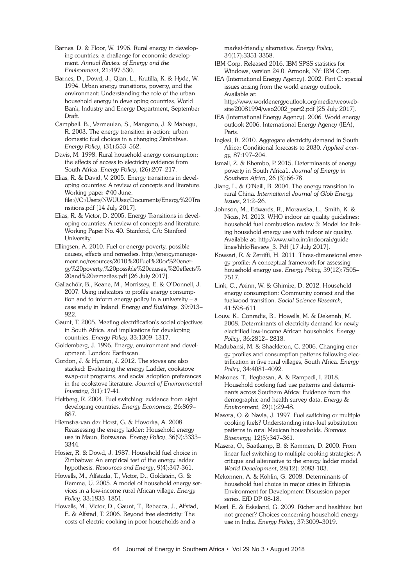Barnes, D. & Floor, W. 1996. Rural energy in developing countries: a challenge for economic development. *Annual Review of Energy and the Environment*, 21:497-530.

Barnes, D., Dowd, J., Qian, L., Krutilla, K. & Hyde, W. 1994. Urban energy transitions, poverty, and the environment: Understanding the role of the urban household energy in developing countries, World Bank, Industry and Energy Department, September Draft.

Campbell, B., Vermeulen, S., Mangono, J. & Mabugu, R. 2003. The energy transition in action: urban domestic fuel choices in a changing Zimbabwe. *Energy Policy*, (31):553–562.

Davis, M. 1998. Rural household energy consumption: the effects of access to electricity evidence from South Africa. *Energy Policy*, (26):207–217.

Elias, R. & David, V. 2005. Energy transitions in developing countries: A review of concepts and literature. Working paper #40 June. file:///C:/Users/NWUUser/Documents/Energy%20Tra nsitions.pdf [14 July 2017].

Elias, R. & Victor, D. 2005. Energy Transitions in developing countries: A review of concepts and literature. Working Paper No. 40. Stanford, CA: Stanford University.

Ellingsen, A. 2010. Fuel or energy poverty, possible causes, effects and remedies. http://energymanagement.no/resources/2010%20Fuel%20or%20energy%20poverty,%20possible%20causes,%20effects% 20and%20remedies.pdf [26 July 2017].

Gallachóir, B., Keane, M., Morrissey, E. & O'Donnell, J. 2007. Using indicators to profile energy consumption and to inform energy policy in a university – a case study in Ireland. *Energy and Buildings,* 39:913– 922.

Gaunt, T. 2005. Meeting electrification's social objectives in South Africa, and implications for developing countries. *Energy Policy,* 33:1309–1317.

Goldemberg, J. 1996. Energy, environment and development. London: Earthscan.

Gordon, J. & Hyman, J. 2012. The stoves are also stacked: Evaluating the energy Ladder, cookstove swap-out programs, and social adoption preferences in the cookstove literature. *Journal of Environmental Investing,* 3(1):17-41.

Heltberg, R. 2004. Fuel switching: evidence from eight developing countries. *Energy Economics,* 26:869– 887.

Hiemstra-van der Horst, G. & Hovorka, A. 2008. Reassessing the energy ladder: Household energy use in Maun, Botswana. *Energy Policy*, 36(9):3333– 3344.

Hosier, R. & Dowd, J. 1987. Household fuel choice in Zimbabwe: An empirical test of the energy ladder hypothesis. *Resources and Energy*, 9(4):347-361.

Howells, M., Alfstada, T., Victor, D., Goldstein, G. & Remme, U. 2005. A model of household energy services in a low-income rural African village. *Energy Policy,* 33:1833–1851.

Howells, M., Victor, D., Gaunt, T., Rebecca, J., Alfstad, E. & Alfstad, T. 2006. Beyond free electricity: The costs of electric cooking in poor households and a

market-friendly alternative. *Energy Policy*, 34(17):3351-3358.

IBM Corp. Released 2016. IBM SPSS statistics for Windows, version 24.0. Armonk, NY: IBM Corp.

IEA (International Energy Agency). 2002. Part C: special issues arising from the world energy outlook. Available at: http://www.worldenergyoutlook.org/media/weowebsite/20081994/weo2002\_part2.pdf [25 July 2017].

IEA (International Energy Agency). 2006. World energy outlook 2006. International Energy Agency (IEA), Paris.

Inglesi, R. 2010. Aggregate electricity demand in South Africa: Conditional forecasts to 2030. *Applied energy,* 87:197–204.

Ismail, Z. & Khembo, P. 2015. Determinants of energy poverty in South Africa1. *Journal of Energy in Southern Africa*, 26 (3):66-78.

Jiang, L. & O'Neill, B. 2004. The energy transition in rural China*. International Journal of Glob Energy Issues*, 21:2–26.

Johnson, M., Edwards, R., Morawska, L., Smith, K. & Nicas, M. 2013. WHO indoor air quality guidelines: household fuel combustion review 3: Model for linking household energy use with indoor air quality. Available at: http://www.who.int/indoorair/guidelines/hhfc/Review\_3. Pdf [17 July 2017].

Kowsari, R. & Zerriffi, H. 2011. Three-dimensional energy profile: A conceptual framework for assessing household energy use. *Energy Policy,* 39(12):7505– 7517.

Link, C., Axinn, W. & Ghimire, D. 2012. Household energy consumption: Community context and the fuelwood transition. *Social Science Research,* 41:598–611.

Louw, K., Conradie, B., Howells, M. & Dekenah, M. 2008. Determinants of electricity demand for newly electrified low-income African households. *Energy Policy*, 36:2812– 2818.

Madubansi, M. & Shackleton, C. 2006. Changing energy profiles and consumption patterns following electrification in five rural villages, South Africa. *Energy Policy*, 34:4081–4092.

Makones. T., Ifegbesan, A. & Rampedi, I. 2018. Household cooking fuel use patterns and determinants across Southern Africa: Evidence from the demographic and health survey data. *Energy & Environment*, 29(1):29-48.

Masera, O. & Navia, J. 1997. Fuel switching or multiple cooking fuels? Understanding inter-fuel substitution patterns in rural Mexican households. *Biomass Bioenergy,* 12(5):347–361.

Masera, O., Saatkamp, B. & Kammen, D. 2000. From linear fuel switching to multiple cooking strategies: A critique and alternative to the energy ladder model. *World Development*, 28(12): 2083-103.

Mekonnen, A. & Köhlin, G. 2008. Determinants of household fuel choice in major cities in Ethiopia. Environment for Development Discussion paper series. EfD DP 08-18.

Mestl, E. & Eskeland, G. 2009. Richer and healthier, but not greener? Choices concerning household energy use in India. *Energy Policy*, 37:3009–3019.